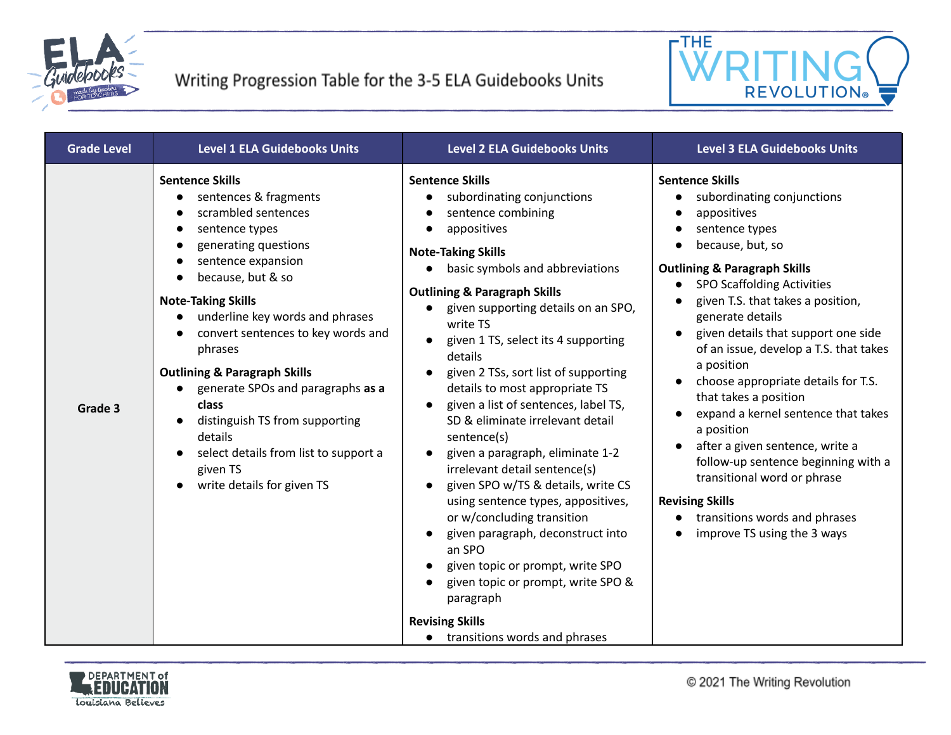



| <b>Grade Level</b> | <b>Level 1 ELA Guidebooks Units</b>                                                                                                                                                                                                                                                                                                                                                                                                                                                                                | <b>Level 2 ELA Guidebooks Units</b>                                                                                                                                                                                                                                                                                                                                                                                                                                                                                                                                                                                                                                                                                                                                                                                                                                           | <b>Level 3 ELA Guidebooks Units</b>                                                                                                                                                                                                                                                                                                                                                                                                                                                                                                                                                                                                                                       |
|--------------------|--------------------------------------------------------------------------------------------------------------------------------------------------------------------------------------------------------------------------------------------------------------------------------------------------------------------------------------------------------------------------------------------------------------------------------------------------------------------------------------------------------------------|-------------------------------------------------------------------------------------------------------------------------------------------------------------------------------------------------------------------------------------------------------------------------------------------------------------------------------------------------------------------------------------------------------------------------------------------------------------------------------------------------------------------------------------------------------------------------------------------------------------------------------------------------------------------------------------------------------------------------------------------------------------------------------------------------------------------------------------------------------------------------------|---------------------------------------------------------------------------------------------------------------------------------------------------------------------------------------------------------------------------------------------------------------------------------------------------------------------------------------------------------------------------------------------------------------------------------------------------------------------------------------------------------------------------------------------------------------------------------------------------------------------------------------------------------------------------|
| Grade 3            | <b>Sentence Skills</b><br>sentences & fragments<br>scrambled sentences<br>sentence types<br>$\bullet$<br>generating questions<br>sentence expansion<br>because, but & so<br><b>Note-Taking Skills</b><br>underline key words and phrases<br>convert sentences to key words and<br>phrases<br><b>Outlining &amp; Paragraph Skills</b><br>generate SPOs and paragraphs as a<br>class<br>distinguish TS from supporting<br>details<br>select details from list to support a<br>given TS<br>write details for given TS | <b>Sentence Skills</b><br>subordinating conjunctions<br>sentence combining<br>appositives<br><b>Note-Taking Skills</b><br>basic symbols and abbreviations<br>$\bullet$<br><b>Outlining &amp; Paragraph Skills</b><br>given supporting details on an SPO,<br>write TS<br>given 1 TS, select its 4 supporting<br>details<br>given 2 TSs, sort list of supporting<br>details to most appropriate TS<br>given a list of sentences, label TS,<br>SD & eliminate irrelevant detail<br>sentence(s)<br>given a paragraph, eliminate 1-2<br>irrelevant detail sentence(s)<br>given SPO w/TS & details, write CS<br>using sentence types, appositives,<br>or w/concluding transition<br>given paragraph, deconstruct into<br>an SPO<br>given topic or prompt, write SPO<br>given topic or prompt, write SPO &<br>paragraph<br><b>Revising Skills</b><br>• transitions words and phrases | <b>Sentence Skills</b><br>subordinating conjunctions<br>appositives<br>sentence types<br>because, but, so<br><b>Outlining &amp; Paragraph Skills</b><br><b>SPO Scaffolding Activities</b><br>given T.S. that takes a position,<br>generate details<br>given details that support one side<br>of an issue, develop a T.S. that takes<br>a position<br>choose appropriate details for T.S.<br>that takes a position<br>expand a kernel sentence that takes<br>a position<br>after a given sentence, write a<br>follow-up sentence beginning with a<br>transitional word or phrase<br><b>Revising Skills</b><br>transitions words and phrases<br>improve TS using the 3 ways |

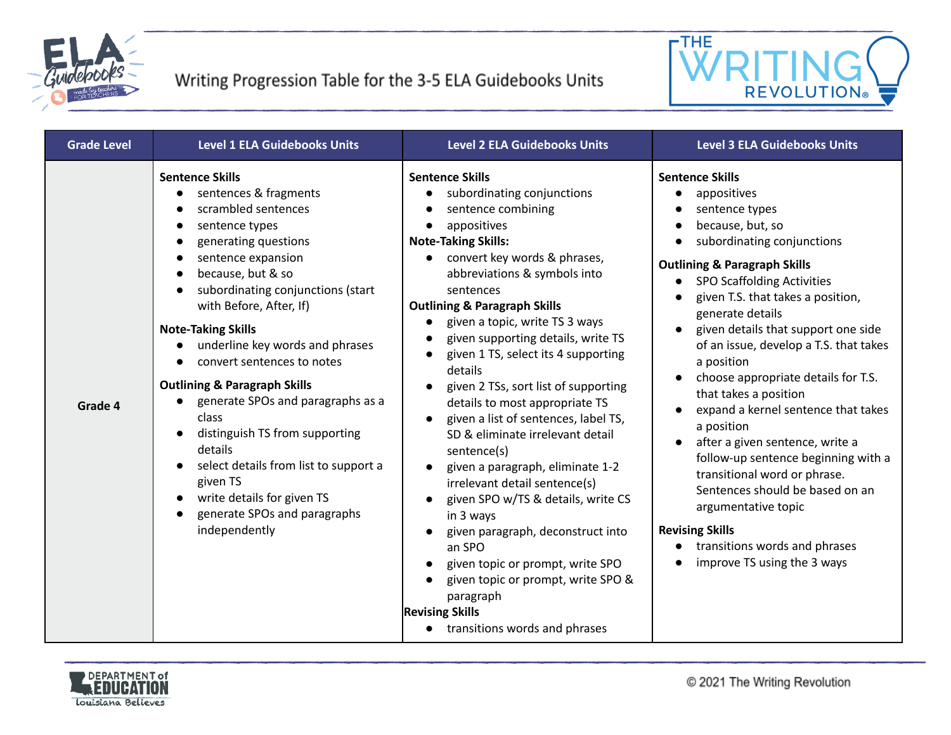



| <b>Grade Level</b> | <b>Level 1 ELA Guidebooks Units</b>                                                                                                                                                                                                                                                                                                                                                                                                                                                                                                                                                                                                                                                            | <b>Level 2 ELA Guidebooks Units</b>                                                                                                                                                                                                                                                                                                                                                                                                                                                                                                                                                                                                                                                                                                                                                                                                                                                                                         | <b>Level 3 ELA Guidebooks Units</b>                                                                                                                                                                                                                                                                                                                                                                                                                                                                                                                                                                                                                                                                                                                                         |
|--------------------|------------------------------------------------------------------------------------------------------------------------------------------------------------------------------------------------------------------------------------------------------------------------------------------------------------------------------------------------------------------------------------------------------------------------------------------------------------------------------------------------------------------------------------------------------------------------------------------------------------------------------------------------------------------------------------------------|-----------------------------------------------------------------------------------------------------------------------------------------------------------------------------------------------------------------------------------------------------------------------------------------------------------------------------------------------------------------------------------------------------------------------------------------------------------------------------------------------------------------------------------------------------------------------------------------------------------------------------------------------------------------------------------------------------------------------------------------------------------------------------------------------------------------------------------------------------------------------------------------------------------------------------|-----------------------------------------------------------------------------------------------------------------------------------------------------------------------------------------------------------------------------------------------------------------------------------------------------------------------------------------------------------------------------------------------------------------------------------------------------------------------------------------------------------------------------------------------------------------------------------------------------------------------------------------------------------------------------------------------------------------------------------------------------------------------------|
| Grade 4            | <b>Sentence Skills</b><br>sentences & fragments<br>scrambled sentences<br>$\bullet$<br>sentence types<br>$\bullet$<br>generating questions<br>$\bullet$<br>sentence expansion<br>$\bullet$<br>because, but & so<br>$\bullet$<br>subordinating conjunctions (start<br>with Before, After, If)<br><b>Note-Taking Skills</b><br>underline key words and phrases<br>$\bullet$<br>convert sentences to notes<br><b>Outlining &amp; Paragraph Skills</b><br>generate SPOs and paragraphs as a<br>class<br>distinguish TS from supporting<br>details<br>select details from list to support a<br>given TS<br>write details for given TS<br>generate SPOs and paragraphs<br>$\bullet$<br>independently | <b>Sentence Skills</b><br>subordinating conjunctions<br>$\bullet$<br>sentence combining<br>$\bullet$<br>appositives<br>$\bullet$<br><b>Note-Taking Skills:</b><br>convert key words & phrases,<br>abbreviations & symbols into<br>sentences<br><b>Outlining &amp; Paragraph Skills</b><br>given a topic, write TS 3 ways<br>given supporting details, write TS<br>given 1 TS, select its 4 supporting<br>details<br>given 2 TSs, sort list of supporting<br>details to most appropriate TS<br>given a list of sentences, label TS,<br>SD & eliminate irrelevant detail<br>sentence(s)<br>given a paragraph, eliminate 1-2<br>irrelevant detail sentence(s)<br>given SPO w/TS & details, write CS<br>in 3 ways<br>given paragraph, deconstruct into<br>an SPO<br>given topic or prompt, write SPO<br>given topic or prompt, write SPO &<br>paragraph<br><b>Revising Skills</b><br>transitions words and phrases<br>$\bullet$ | <b>Sentence Skills</b><br>appositives<br>$\bullet$<br>sentence types<br>because, but, so<br>subordinating conjunctions<br>$\bullet$<br><b>Outlining &amp; Paragraph Skills</b><br><b>SPO Scaffolding Activities</b><br>$\bullet$<br>given T.S. that takes a position,<br>generate details<br>given details that support one side<br>of an issue, develop a T.S. that takes<br>a position<br>choose appropriate details for T.S.<br>that takes a position<br>expand a kernel sentence that takes<br>a position<br>after a given sentence, write a<br>follow-up sentence beginning with a<br>transitional word or phrase.<br>Sentences should be based on an<br>argumentative topic<br><b>Revising Skills</b><br>transitions words and phrases<br>improve TS using the 3 ways |